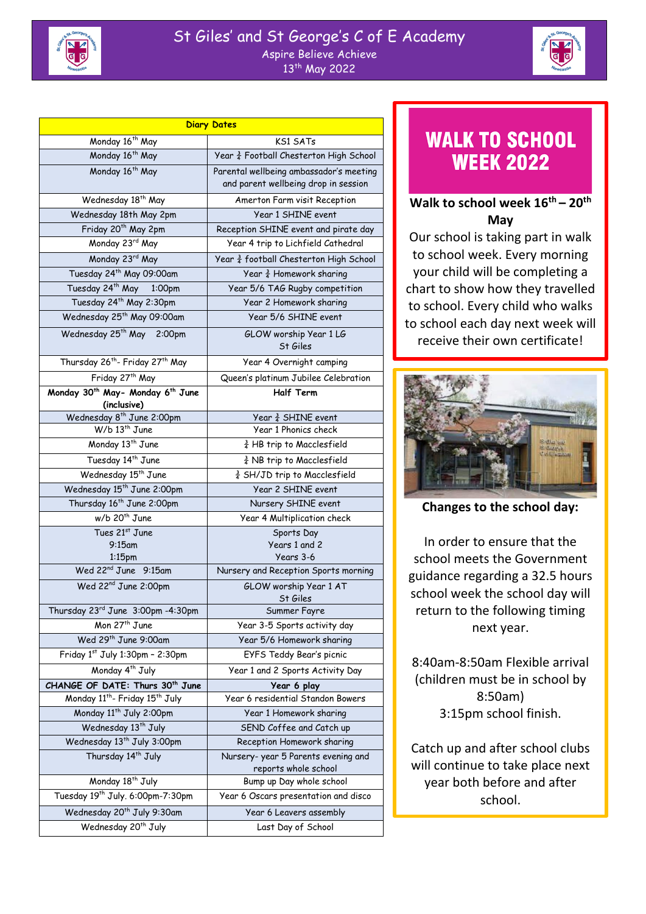### St Giles' and St George's C of E Academy Aspire Believe Achieve 13th May 2022



| <b>Diary Dates</b>                                                      |                                                                                 |
|-------------------------------------------------------------------------|---------------------------------------------------------------------------------|
| Monday 16 <sup>th</sup> May                                             | <b>KS1 SATs</b>                                                                 |
| Monday 16 <sup>th</sup> May                                             | Year 3 Football Chesterton High School                                          |
| Monday 16 <sup>th</sup> May                                             | Parental wellbeing ambassador's meeting<br>and parent wellbeing drop in session |
| Wednesday 18 <sup>th</sup> May                                          | Amerton Farm visit Reception                                                    |
| Wednesday 18th May 2pm                                                  | Year 1 SHINE event                                                              |
| Friday 20 <sup>th</sup> May 2pm                                         | Reception SHINE event and pirate day                                            |
| Monday 23rd May                                                         | Year 4 trip to Lichfield Cathedral                                              |
| Monday 23rd May                                                         | Year 3 football Chesterton High School                                          |
| Tuesday 24 <sup>th</sup> May 09:00am                                    | Year $\frac{3}{4}$ Homework sharing                                             |
| Tuesday 24 <sup>th</sup> May 1:00pm                                     | Year 5/6 TAG Rugby competition                                                  |
| Tuesday 24 <sup>th</sup> May 2:30pm                                     | Year 2 Homework sharing                                                         |
| Wednesday 25 <sup>th</sup> May 09:00am                                  | Year 5/6 SHINE event                                                            |
| Wednesday 25th May<br>2:00pm                                            | GLOW worship Year 1 LG<br>St Giles                                              |
| Thursday 26 <sup>th</sup> - Friday 27 <sup>th</sup> May                 | Year 4 Overnight camping                                                        |
| Friday 27th May                                                         | Queen's platinum Jubilee Celebration                                            |
| Monday 30 <sup>th</sup> May- Monday 6 <sup>th</sup> June<br>(inclusive) | <b>Half Term</b>                                                                |
| Wednesday 8 <sup>th</sup> June 2:00pm                                   | Year $\frac{3}{4}$ SHINE event                                                  |
| $W/b$ 13 <sup>th</sup> June                                             | Year 1 Phonics check                                                            |
| Monday 13 <sup>th</sup> June                                            | $\frac{3}{4}$ HB trip to Macclesfield                                           |
| Tuesday 14 <sup>th</sup> June                                           | $\frac{3}{4}$ NB trip to Macclesfield                                           |
| Wednesday 15 <sup>th</sup> June                                         | 3 SH/JD trip to Macclesfield                                                    |
| Wednesday 15 <sup>th</sup> June 2:00pm                                  | Year 2 SHINE event                                                              |
| Thursday 16 <sup>th</sup> June 2:00pm                                   | Nursery SHINE event                                                             |
| w/b 20 <sup>th</sup> June                                               | Year 4 Multiplication check                                                     |
| Tues 21st June                                                          | Sports Day                                                                      |
| $9:15$ am<br>1:15 <sub>pm</sub>                                         | Years 1 and 2<br>Years 3-6                                                      |
| Wed 22 <sup>nd</sup> June 9:15am                                        | Nursery and Reception Sports morning                                            |
| Wed 22 <sup>nd</sup> June 2:00pm                                        | GLOW worship Year 1 AT                                                          |
|                                                                         | St Giles                                                                        |
| Thursday 23rd June 3:00pm -4:30pm                                       | Summer Fayre                                                                    |
| Mon 27 <sup>th</sup> June                                               | Year 3-5 Sports activity day                                                    |
| Wed 29th June 9:00am                                                    | Year 5/6 Homework sharing                                                       |
| Friday 1st July 1:30pm - 2:30pm                                         | EYFS Teddy Bear's picnic                                                        |
| Monday 4 <sup>th</sup> July                                             | Year 1 and 2 Sports Activity Day                                                |
| CHANGE OF DATE: Thurs 30 <sup>th</sup> June                             | Year 6 play                                                                     |
| Monday 11 <sup>th</sup> - Friday 15 <sup>th</sup> July                  | Year 6 residential Standon Bowers                                               |
| Monday 11 <sup>th</sup> July 2:00pm                                     | Year 1 Homework sharing                                                         |
| Wednesday 13 <sup>th</sup> July                                         | SEND Coffee and Catch up                                                        |
| Wednesday 13 <sup>th</sup> July 3:00pm                                  | Reception Homework sharing                                                      |
| Thursday 14 <sup>th</sup> July                                          | Nursery-year 5 Parents evening and<br>reports whole school                      |
| Monday 18 <sup>th</sup> July                                            | Bump up Day whole school                                                        |
| Tuesday 19 <sup>th</sup> July. 6:00pm-7:30pm                            | Year 6 Oscars presentation and disco                                            |
| Wednesday 20 <sup>th</sup> July 9:30am                                  | Year 6 Leavers assembly                                                         |
| Wednesday 20 <sup>th</sup> July                                         | Last Day of School                                                              |

# **WALK TO SCHOOL WEEK 2022**

## **Walk to school week 16th – 20th May**

Our school is taking part in walk to school week. Every morning your child will be completing a chart to show how they travelled to school. Every child who walks to school each day next week will receive their own certificate!



**Changes to the school day:**

In order to ensure that the school meets the Government guidance regarding a 32.5 hours school week the school day will return to the following timing next year.

8:40am-8:50am Flexible arrival (children must be in school by 8:50am) 3:15pm school finish.

Catch up and after school clubs will continue to take place next year both before and after school.